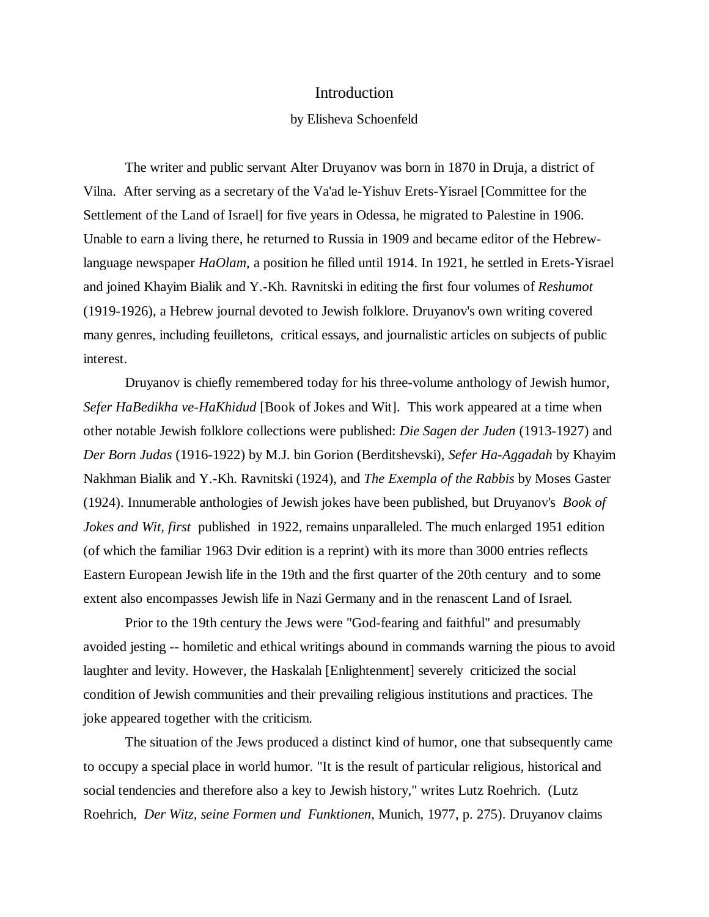## Introduction

## by Elisheva Schoenfeld

The writer and public servant Alter Druyanov was born in 1870 in Druja, a district of Vilna. After serving as a secretary of the Va'ad le-Yishuv Erets-Yisrael [Committee for the Settlement of the Land of Israel] for five years in Odessa, he migrated to Palestine in 1906. Unable to earn a living there, he returned to Russia in 1909 and became editor of the Hebrewlanguage newspaper *HaOlam*, a position he filled until 1914. In 1921, he settled in Erets-Yisrael and joined Khayim Bialik and Y.-Kh. Ravnitski in editing the first four volumes of *Reshumot* (1919-1926), a Hebrew journal devoted to Jewish folklore. Druyanov's own writing covered many genres, including feuilletons, critical essays, and journalistic articles on subjects of public interest.

Druyanov is chiefly remembered today for his three-volume anthology of Jewish humor, *Sefer HaBedikha ve-HaKhidud* [Book of Jokes and Wit]. This work appeared at a time when other notable Jewish folklore collections were published: *Die Sagen der Juden* (1913-1927) and *Der Born Judas* (1916-1922) by M.J. bin Gorion (Berditshevski), *Sefer Ha-Aggadah* by Khayim Nakhman Bialik and Y.-Kh. Ravnitski (1924), and *The Exempla of the Rabbis* by Moses Gaster (1924). Innumerable anthologies of Jewish jokes have been published, but Druyanov's *Book of Jokes and Wit, first* published in 1922, remains unparalleled. The much enlarged 1951 edition (of which the familiar 1963 Dvir edition is a reprint) with its more than 3000 entries reflects Eastern European Jewish life in the 19th and the first quarter of the 20th century and to some extent also encompasses Jewish life in Nazi Germany and in the renascent Land of Israel.

Prior to the 19th century the Jews were "God-fearing and faithful" and presumably avoided jesting -- homiletic and ethical writings abound in commands warning the pious to avoid laughter and levity. However, the Haskalah [Enlightenment] severely criticized the social condition of Jewish communities and their prevailing religious institutions and practices. The joke appeared together with the criticism.

The situation of the Jews produced a distinct kind of humor, one that subsequently came to occupy a special place in world humor. "It is the result of particular religious, historical and social tendencies and therefore also a key to Jewish history," writes Lutz Roehrich. (Lutz Roehrich*, Der Witz, seine Formen und Funktionen*, Munich, 1977, p. 275). Druyanov claims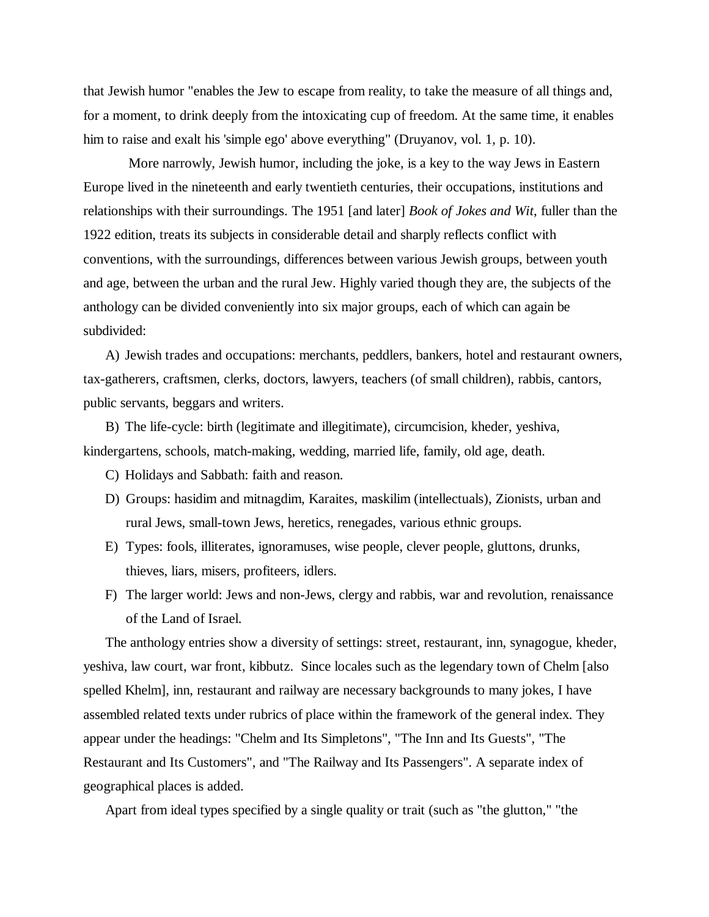that Jewish humor "enables the Jew to escape from reality, to take the measure of all things and, for a moment, to drink deeply from the intoxicating cup of freedom. At the same time, it enables him to raise and exalt his 'simple ego' above everything" (Druyanov, vol. 1, p. 10).

More narrowly, Jewish humor, including the joke, is a key to the way Jews in Eastern Europe lived in the nineteenth and early twentieth centuries, their occupations, institutions and relationships with their surroundings. The 1951 [and later] *Book of Jokes and Wit*, fuller than the 1922 edition, treats its subjects in considerable detail and sharply reflects conflict with conventions, with the surroundings, differences between various Jewish groups, between youth and age, between the urban and the rural Jew. Highly varied though they are, the subjects of the anthology can be divided conveniently into six major groups, each of which can again be subdivided:

A) Jewish trades and occupations: merchants, peddlers, bankers, hotel and restaurant owners, tax-gatherers, craftsmen, clerks, doctors, lawyers, teachers (of small children), rabbis, cantors, public servants, beggars and writers.

B) The life-cycle: birth (legitimate and illegitimate), circumcision, kheder, yeshiva, kindergartens, schools, match-making, wedding, married life, family, old age, death.

- C) Holidays and Sabbath: faith and reason.
- D) Groups: hasidim and mitnagdim, Karaites, maskilim (intellectuals), Zionists, urban and rural Jews, small-town Jews, heretics, renegades, various ethnic groups.
- E) Types: fools, illiterates, ignoramuses, wise people, clever people, gluttons, drunks, thieves, liars, misers, profiteers, idlers.
- F) The larger world: Jews and non-Jews, clergy and rabbis, war and revolution, renaissance of the Land of Israel.

The anthology entries show a diversity of settings: street, restaurant, inn, synagogue, kheder, yeshiva, law court, war front, kibbutz. Since locales such as the legendary town of Chelm [also spelled Khelm], inn, restaurant and railway are necessary backgrounds to many jokes, I have assembled related texts under rubrics of place within the framework of the general index. They appear under the headings: "Chelm and Its Simpletons", "The Inn and Its Guests", "The Restaurant and Its Customers", and "The Railway and Its Passengers". A separate index of geographical places is added.

Apart from ideal types specified by a single quality or trait (such as "the glutton," "the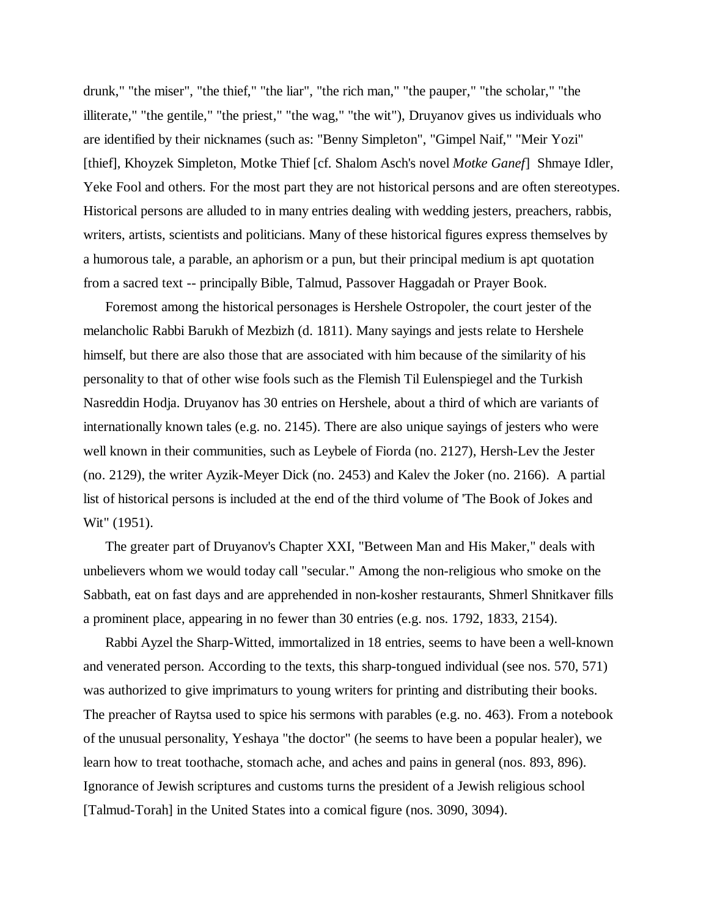drunk," "the miser", "the thief," "the liar", "the rich man," "the pauper," "the scholar," "the illiterate," "the gentile," "the priest," "the wag," "the wit"), Druyanov gives us individuals who are identified by their nicknames (such as: "Benny Simpleton", "Gimpel Naif," "Meir Yozi" [thief], Khoyzek Simpleton, Motke Thief [cf. Shalom Asch's novel *Motke Ganef*] Shmaye Idler, Yeke Fool and others. For the most part they are not historical persons and are often stereotypes. Historical persons are alluded to in many entries dealing with wedding jesters, preachers, rabbis, writers, artists, scientists and politicians. Many of these historical figures express themselves by a humorous tale, a parable, an aphorism or a pun, but their principal medium is apt quotation from a sacred text -- principally Bible, Talmud, Passover Haggadah or Prayer Book.

Foremost among the historical personages is Hershele Ostropoler, the court jester of the melancholic Rabbi Barukh of Mezbizh (d. 1811). Many sayings and jests relate to Hershele himself, but there are also those that are associated with him because of the similarity of his personality to that of other wise fools such as the Flemish Til Eulenspiegel and the Turkish Nasreddin Hodja. Druyanov has 30 entries on Hershele, about a third of which are variants of internationally known tales (e.g. no. 2145). There are also unique sayings of jesters who were well known in their communities, such as Leybele of Fiorda (no. 2127), Hersh-Lev the Jester (no. 2129), the writer Ayzik-Meyer Dick (no. 2453) and Kalev the Joker (no. 2166). A partial list of historical persons is included at the end of the third volume of 'The Book of Jokes and Wit" (1951).

The greater part of Druyanov's Chapter XXI, "Between Man and His Maker," deals with unbelievers whom we would today call "secular." Among the non-religious who smoke on the Sabbath, eat on fast days and are apprehended in non-kosher restaurants, Shmerl Shnitkaver fills a prominent place, appearing in no fewer than 30 entries (e.g. nos. 1792, 1833, 2154).

Rabbi Ayzel the Sharp-Witted, immortalized in 18 entries, seems to have been a well-known and venerated person. According to the texts, this sharp-tongued individual (see nos. 570, 571) was authorized to give imprimaturs to young writers for printing and distributing their books. The preacher of Raytsa used to spice his sermons with parables (e.g. no. 463). From a notebook of the unusual personality, Yeshaya "the doctor" (he seems to have been a popular healer), we learn how to treat toothache, stomach ache, and aches and pains in general (nos. 893, 896). Ignorance of Jewish scriptures and customs turns the president of a Jewish religious school [Talmud-Torah] in the United States into a comical figure (nos. 3090, 3094).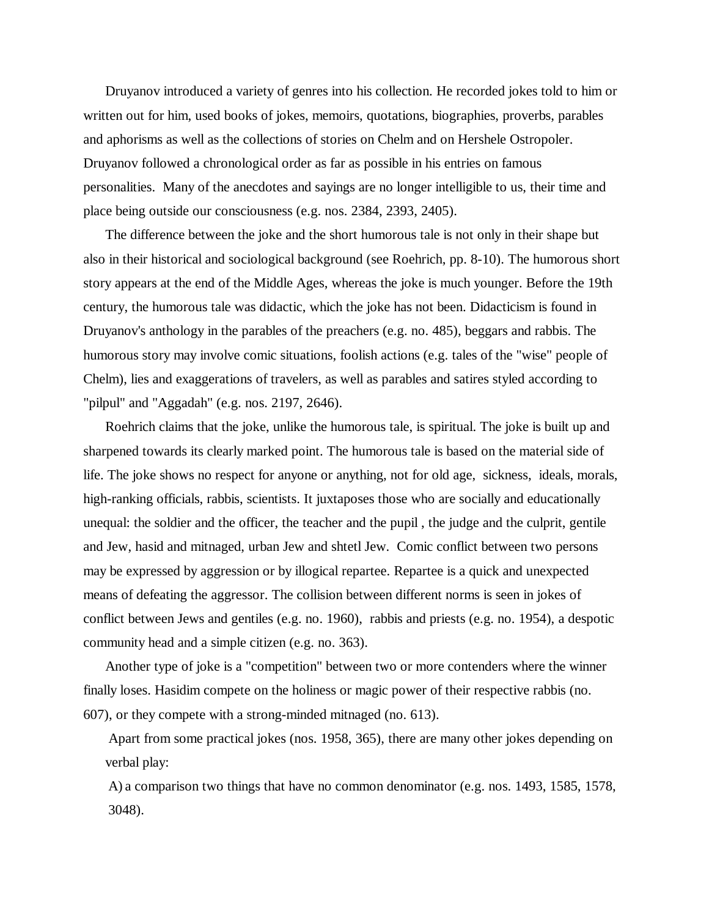Druyanov introduced a variety of genres into his collection. He recorded jokes told to him or written out for him, used books of jokes, memoirs, quotations, biographies, proverbs, parables and aphorisms as well as the collections of stories on Chelm and on Hershele Ostropoler. Druyanov followed a chronological order as far as possible in his entries on famous personalities. Many of the anecdotes and sayings are no longer intelligible to us, their time and place being outside our consciousness (e.g. nos. 2384, 2393, 2405).

The difference between the joke and the short humorous tale is not only in their shape but also in their historical and sociological background (see Roehrich, pp. 8-10). The humorous short story appears at the end of the Middle Ages, whereas the joke is much younger. Before the 19th century, the humorous tale was didactic, which the joke has not been. Didacticism is found in Druyanov's anthology in the parables of the preachers (e.g. no. 485), beggars and rabbis. The humorous story may involve comic situations, foolish actions (e.g. tales of the "wise" people of Chelm), lies and exaggerations of travelers, as well as parables and satires styled according to "pilpul" and "Aggadah" (e.g. nos. 2197, 2646).

Roehrich claims that the joke, unlike the humorous tale, is spiritual. The joke is built up and sharpened towards its clearly marked point. The humorous tale is based on the material side of life. The joke shows no respect for anyone or anything, not for old age, sickness, ideals, morals, high-ranking officials, rabbis, scientists. It juxtaposes those who are socially and educationally unequal: the soldier and the officer, the teacher and the pupil , the judge and the culprit, gentile and Jew, hasid and mitnaged, urban Jew and shtetl Jew. Comic conflict between two persons may be expressed by aggression or by illogical repartee. Repartee is a quick and unexpected means of defeating the aggressor. The collision between different norms is seen in jokes of conflict between Jews and gentiles (e.g. no. 1960), rabbis and priests (e.g. no. 1954), a despotic community head and a simple citizen (e.g. no. 363).

Another type of joke is a "competition" between two or more contenders where the winner finally loses. Hasidim compete on the holiness or magic power of their respective rabbis (no. 607), or they compete with a strong-minded mitnaged (no. 613).

Apart from some practical jokes (nos. 1958, 365), there are many other jokes depending on verbal play:

A) a comparison two things that have no common denominator (e.g. nos. 1493, 1585, 1578, 3048).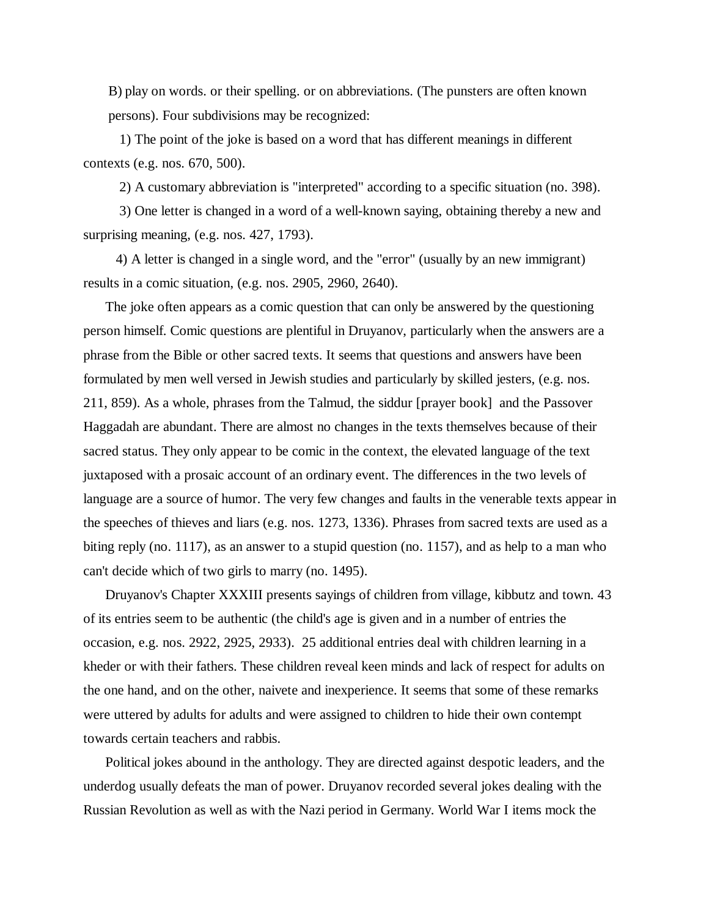B) play on words. or their spelling. or on abbreviations. (The punsters are often known persons). Four subdivisions may be recognized:

1) The point of the joke is based on a word that has different meanings in different contexts (e.g. nos. 670, 500).

2) A customary abbreviation is "interpreted" according to a specific situation (no. 398).

3) One letter is changed in a word of a well-known saying, obtaining thereby a new and surprising meaning, (e.g. nos. 427, 1793).

4) A letter is changed in a single word, and the "error" (usually by an new immigrant) results in a comic situation, (e.g. nos. 2905, 2960, 2640).

The joke often appears as a comic question that can only be answered by the questioning person himself. Comic questions are plentiful in Druyanov, particularly when the answers are a phrase from the Bible or other sacred texts. It seems that questions and answers have been formulated by men well versed in Jewish studies and particularly by skilled jesters, (e.g. nos. 211, 859). As a whole, phrases from the Talmud, the siddur [prayer book] and the Passover Haggadah are abundant. There are almost no changes in the texts themselves because of their sacred status. They only appear to be comic in the context, the elevated language of the text juxtaposed with a prosaic account of an ordinary event. The differences in the two levels of language are a source of humor. The very few changes and faults in the venerable texts appear in the speeches of thieves and liars (e.g. nos. 1273, 1336). Phrases from sacred texts are used as a biting reply (no. 1117), as an answer to a stupid question (no. 1157), and as help to a man who can't decide which of two girls to marry (no. 1495).

Druyanov's Chapter XXXIII presents sayings of children from village, kibbutz and town. 43 of its entries seem to be authentic (the child's age is given and in a number of entries the occasion, e.g. nos. 2922, 2925, 2933). 25 additional entries deal with children learning in a kheder or with their fathers. These children reveal keen minds and lack of respect for adults on the one hand, and on the other, naivete and inexperience. It seems that some of these remarks were uttered by adults for adults and were assigned to children to hide their own contempt towards certain teachers and rabbis.

Political jokes abound in the anthology. They are directed against despotic leaders, and the underdog usually defeats the man of power. Druyanov recorded several jokes dealing with the Russian Revolution as well as with the Nazi period in Germany. World War I items mock the